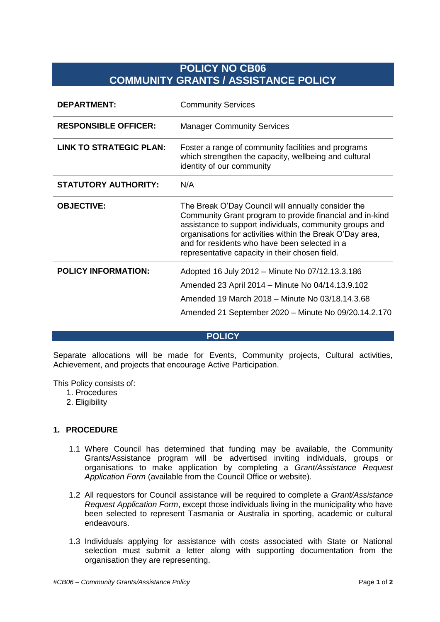# **POLICY NO CB06 COMMUNITY GRANTS / ASSISTANCE POLICY**

| <b>DEPARTMENT:</b>             | <b>Community Services</b>                                                                                                                                                                                                                                                                                                                 |
|--------------------------------|-------------------------------------------------------------------------------------------------------------------------------------------------------------------------------------------------------------------------------------------------------------------------------------------------------------------------------------------|
| <b>RESPONSIBLE OFFICER:</b>    | <b>Manager Community Services</b>                                                                                                                                                                                                                                                                                                         |
| <b>LINK TO STRATEGIC PLAN:</b> | Foster a range of community facilities and programs<br>which strengthen the capacity, wellbeing and cultural<br>identity of our community                                                                                                                                                                                                 |
| <b>STATUTORY AUTHORITY:</b>    | N/A                                                                                                                                                                                                                                                                                                                                       |
| <b>OBJECTIVE:</b>              | The Break O'Day Council will annually consider the<br>Community Grant program to provide financial and in-kind<br>assistance to support individuals, community groups and<br>organisations for activities within the Break O'Day area,<br>and for residents who have been selected in a<br>representative capacity in their chosen field. |
| <b>POLICY INFORMATION:</b>     | Adopted 16 July 2012 - Minute No 07/12.13.3.186                                                                                                                                                                                                                                                                                           |
|                                | Amended 23 April 2014 – Minute No 04/14.13.9.102                                                                                                                                                                                                                                                                                          |
|                                | Amended 19 March 2018 – Minute No 03/18.14.3.68                                                                                                                                                                                                                                                                                           |
|                                | Amended 21 September 2020 - Minute No 09/20.14.2.170                                                                                                                                                                                                                                                                                      |

#### **POLICY**

Separate allocations will be made for Events, Community projects, Cultural activities, Achievement, and projects that encourage Active Participation.

This Policy consists of:

- 1. Procedures
- 2. Eligibility

### **1. PROCEDURE**

- 1.1 Where Council has determined that funding may be available, the Community Grants/Assistance program will be advertised inviting individuals, groups or organisations to make application by completing a *Grant/Assistance Request Application Form* (available from the Council Office or website)*.*
- 1.2 All requestors for Council assistance will be required to complete a *Grant/Assistance Request Application Form*, except those individuals living in the municipality who have been selected to represent Tasmania or Australia in sporting, academic or cultural endeavours.
- 1.3 Individuals applying for assistance with costs associated with State or National selection must submit a letter along with supporting documentation from the organisation they are representing.